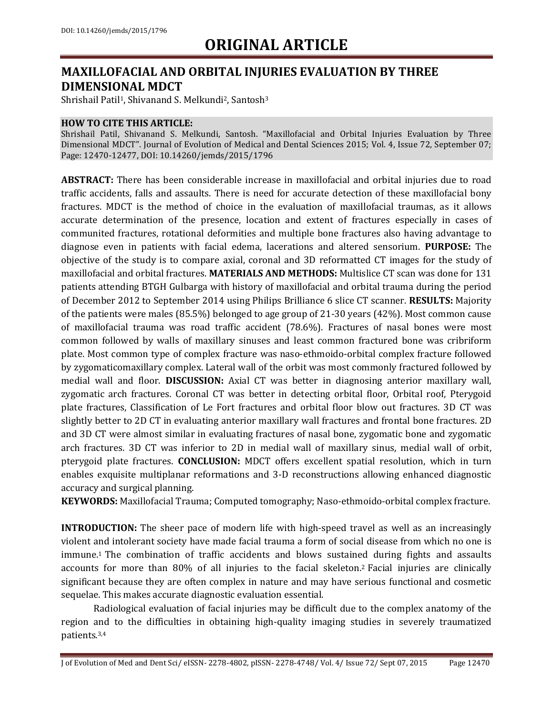### **MAXILLOFACIAL AND ORBITAL INJURIES EVALUATION BY THREE DIMENSIONAL MDCT**

Shrishail Patil<sup>1</sup>, Shivanand S. Melkundi<sup>2</sup>, Santosh<sup>3</sup>

#### **HOW TO CITE THIS ARTICLE:**

Shrishail Patil, Shivanand S. Melkundi, Santosh. "Maxillofacial and Orbital Injuries Evaluation by Three Dimensional MDCT". Journal of Evolution of Medical and Dental Sciences 2015; Vol. 4, Issue 72, September 07; Page: 12470-12477, DOI: 10.14260/jemds/2015/1796

**ABSTRACT:** There has been considerable increase in maxillofacial and orbital injuries due to road traffic accidents, falls and assaults. There is need for accurate detection of these maxillofacial bony fractures. MDCT is the method of choice in the evaluation of maxillofacial traumas, as it allows accurate determination of the presence, location and extent of fractures especially in cases of communited fractures, rotational deformities and multiple bone fractures also having advantage to diagnose even in patients with facial edema, lacerations and altered sensorium. **PURPOSE:** The objective of the study is to compare axial, coronal and 3D reformatted CT images for the study of maxillofacial and orbital fractures. **MATERIALS AND METHODS:** Multislice CT scan was done for 131 patients attending BTGH Gulbarga with history of maxillofacial and orbital trauma during the period of December 2012 to September 2014 using Philips Brilliance 6 slice CT scanner. **RESULTS:** Majority of the patients were males (85.5%) belonged to age group of 21-30 years (42%). Most common cause of maxillofacial trauma was road traffic accident (78.6%). Fractures of nasal bones were most common followed by walls of maxillary sinuses and least common fractured bone was cribriform plate. Most common type of complex fracture was naso-ethmoido-orbital complex fracture followed by zygomaticomaxillary complex. Lateral wall of the orbit was most commonly fractured followed by medial wall and floor. **DISCUSSION:** Axial CT was better in diagnosing anterior maxillary wall, zygomatic arch fractures. Coronal CT was better in detecting orbital floor, Orbital roof, Pterygoid plate fractures, Classification of Le Fort fractures and orbital floor blow out fractures. 3D CT was slightly better to 2D CT in evaluating anterior maxillary wall fractures and frontal bone fractures. 2D and 3D CT were almost similar in evaluating fractures of nasal bone, zygomatic bone and zygomatic arch fractures. 3D CT was inferior to 2D in medial wall of maxillary sinus, medial wall of orbit, pterygoid plate fractures. **CONCLUSION:** MDCT offers excellent spatial resolution, which in turn enables exquisite multiplanar reformations and 3-D reconstructions allowing enhanced diagnostic accuracy and surgical planning.

**KEYWORDS:** Maxillofacial Trauma; Computed tomography; Naso-ethmoido-orbital complex fracture.

**INTRODUCTION:** The sheer pace of modern life with high-speed travel as well as an increasingly violent and intolerant society have made facial trauma a form of social disease from which no one is immune. <sup>1</sup> The combination of traffic accidents and blows sustained during fights and assaults accounts for more than 80% of all injuries to the facial skeleton. <sup>2</sup> Facial injuries are clinically significant because they are often complex in nature and may have serious functional and cosmetic sequelae. This makes accurate diagnostic evaluation essential.

Radiological evaluation of facial injuries may be difficult due to the complex anatomy of the region and to the difficulties in obtaining high-quality imaging studies in severely traumatized patients. 3,4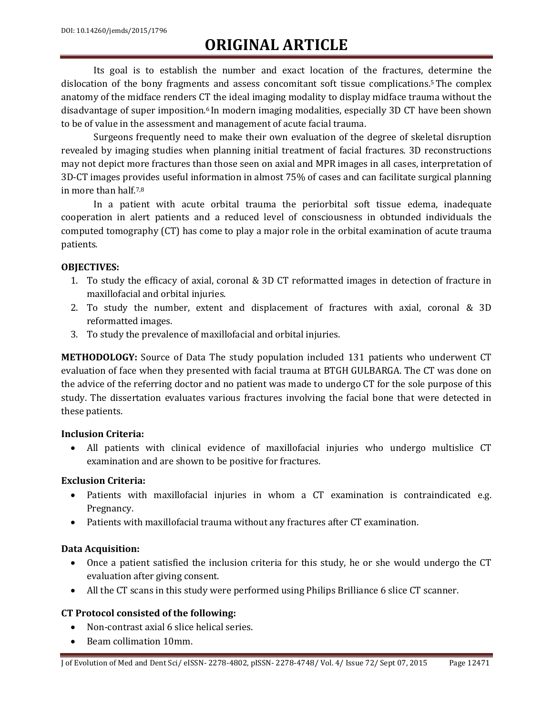Its goal is to establish the number and exact location of the fractures, determine the dislocation of the bony fragments and assess concomitant soft tissue complications. <sup>5</sup> The complex anatomy of the midface renders CT the ideal imaging modality to display midface trauma without the disadvantage of super imposition. <sup>6</sup> In modern imaging modalities, especially 3D CT have been shown to be of value in the assessment and management of acute facial trauma.

Surgeons frequently need to make their own evaluation of the degree of skeletal disruption revealed by imaging studies when planning initial treatment of facial fractures. 3D reconstructions may not depict more fractures than those seen on axial and MPR images in all cases, interpretation of 3D-CT images provides useful information in almost 75% of cases and can facilitate surgical planning in more than half.7,8

In a patient with acute orbital trauma the periorbital soft tissue edema, inadequate cooperation in alert patients and a reduced level of consciousness in obtunded individuals the computed tomography (CT) has come to play a major role in the orbital examination of acute trauma patients.

### **OBJECTIVES:**

- 1. To study the efficacy of axial, coronal & 3D CT reformatted images in detection of fracture in maxillofacial and orbital injuries.
- 2. To study the number, extent and displacement of fractures with axial, coronal & 3D reformatted images.
- 3. To study the prevalence of maxillofacial and orbital injuries.

**METHODOLOGY:** Source of Data The study population included 131 patients who underwent CT evaluation of face when they presented with facial trauma at BTGH GULBARGA. The CT was done on the advice of the referring doctor and no patient was made to undergo CT for the sole purpose of this study. The dissertation evaluates various fractures involving the facial bone that were detected in these patients.

#### **Inclusion Criteria:**

 All patients with clinical evidence of maxillofacial injuries who undergo multislice CT examination and are shown to be positive for fractures.

### **Exclusion Criteria:**

- Patients with maxillofacial injuries in whom a CT examination is contraindicated e.g. Pregnancy.
- Patients with maxillofacial trauma without any fractures after CT examination.

### **Data Acquisition:**

- Once a patient satisfied the inclusion criteria for this study, he or she would undergo the CT evaluation after giving consent.
- All the CT scans in this study were performed using Philips Brilliance 6 slice CT scanner.

### **CT Protocol consisted of the following:**

- Non-contrast axial 6 slice helical series.
- Beam collimation 10mm.

J of Evolution of Med and Dent Sci/ eISSN- 2278-4802, pISSN- 2278-4748/ Vol. 4/ Issue 72/ Sept 07, 2015 Page 12471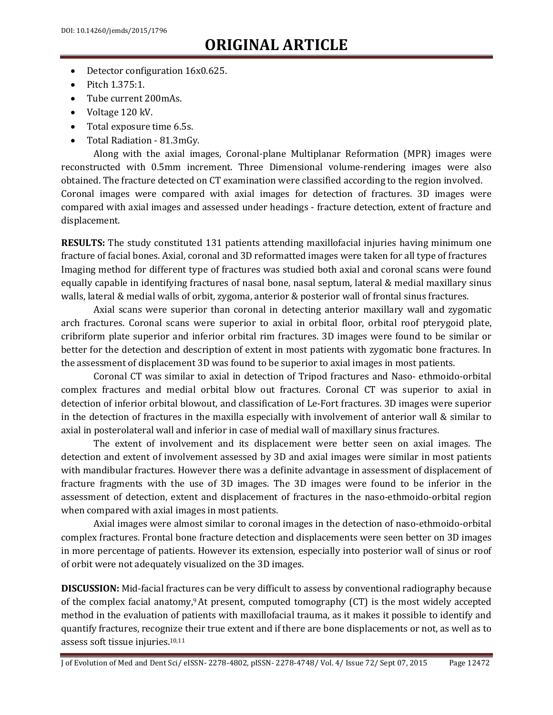- Detector configuration 16x0.625.
- $\bullet$  Pitch 1.375:1.
- Tube current 200mAs.
- Voltage 120 kV.
- Total exposure time 6.5s.
- Total Radiation 81.3mGy.

Along with the axial images, Coronal-plane Multiplanar Reformation (MPR) images were reconstructed with 0.5mm increment. Three Dimensional volume-rendering images were also obtained. The fracture detected on CT examination were classified according to the region involved. Coronal images were compared with axial images for detection of fractures. 3D images were compared with axial images and assessed under headings - fracture detection, extent of fracture and displacement.

**RESULTS:** The study constituted 131 patients attending maxillofacial injuries having minimum one fracture of facial bones. Axial, coronal and 3D reformatted images were taken for all type of fractures Imaging method for different type of fractures was studied both axial and coronal scans were found equally capable in identifying fractures of nasal bone, nasal septum, lateral & medial maxillary sinus walls, lateral & medial walls of orbit, zygoma, anterior & posterior wall of frontal sinus fractures.

Axial scans were superior than coronal in detecting anterior maxillary wall and zygomatic arch fractures. Coronal scans were superior to axial in orbital floor, orbital roof pterygoid plate, cribriform plate superior and inferior orbital rim fractures. 3D images were found to be similar or better for the detection and description of extent in most patients with zygomatic bone fractures. In the assessment of displacement 3D was found to be superior to axial images in most patients.

Coronal CT was similar to axial in detection of Tripod fractures and Naso- ethmoido-orbital complex fractures and medial orbital blow out fractures. Coronal CT was superior to axial in detection of inferior orbital blowout, and classification of Le-Fort fractures. 3D images were superior in the detection of fractures in the maxilla especially with involvement of anterior wall & similar to axial in posterolateral wall and inferior in case of medial wall of maxillary sinus fractures.

The extent of involvement and its displacement were better seen on axial images. The detection and extent of involvement assessed by 3D and axial images were similar in most patients with mandibular fractures. However there was a definite advantage in assessment of displacement of fracture fragments with the use of 3D images. The 3D images were found to be inferior in the assessment of detection, extent and displacement of fractures in the naso-ethmoido-orbital region when compared with axial images in most patients.

Axial images were almost similar to coronal images in the detection of naso-ethmoido-orbital complex fractures. Frontal bone fracture detection and displacements were seen better on 3D images in more percentage of patients. However its extension, especially into posterior wall of sinus or roof of orbit were not adequately visualized on the 3D images.

**DISCUSSION:** Mid-facial fractures can be very difficult to assess by conventional radiography because of the complex facial anatomy,<sup>9</sup> At present, computed tomography (CT) is the most widely accepted method in the evaluation of patients with maxillofacial trauma, as it makes it possible to identify and quantify fractures, recognize their true extent and if there are bone displacements or not, as well as to assess soft tissue injuries. 10,11

J of Evolution of Med and Dent Sci/ eISSN- 2278-4802, pISSN- 2278-4748/ Vol. 4/ Issue 72/ Sept 07, 2015 Page 12472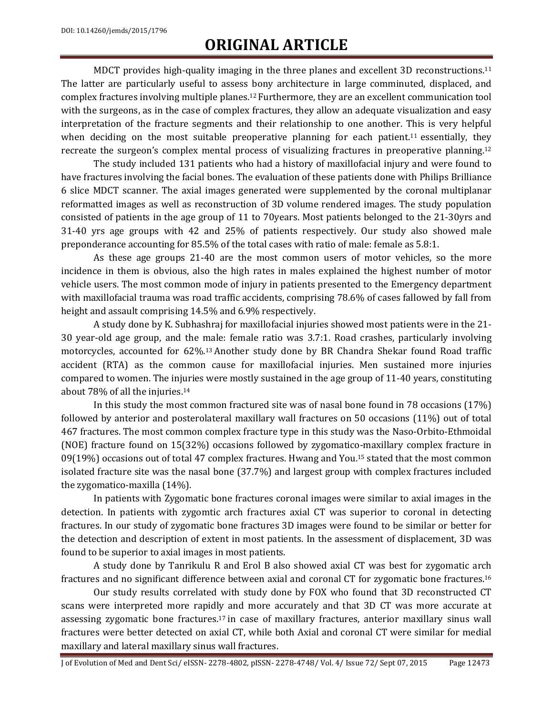MDCT provides high-quality imaging in the three planes and excellent 3D reconstructions. 11 The latter are particularly useful to assess bony architecture in large comminuted, displaced, and complex fractures involving multiple planes. <sup>12</sup> Furthermore, they are an excellent communication tool with the surgeons, as in the case of complex fractures, they allow an adequate visualization and easy interpretation of the fracture segments and their relationship to one another. This is very helpful when deciding on the most suitable preoperative planning for each patient.<sup>11</sup> essentially, they recreate the surgeon's complex mental process of visualizing fractures in preoperative planning.<sup>12</sup>

The study included 131 patients who had a history of maxillofacial injury and were found to have fractures involving the facial bones. The evaluation of these patients done with Philips Brilliance 6 slice MDCT scanner. The axial images generated were supplemented by the coronal multiplanar reformatted images as well as reconstruction of 3D volume rendered images. The study population consisted of patients in the age group of 11 to 70years. Most patients belonged to the 21-30yrs and 31-40 yrs age groups with 42 and 25% of patients respectively. Our study also showed male preponderance accounting for 85.5% of the total cases with ratio of male: female as 5.8:1.

As these age groups 21-40 are the most common users of motor vehicles, so the more incidence in them is obvious, also the high rates in males explained the highest number of motor vehicle users. The most common mode of injury in patients presented to the Emergency department with maxillofacial trauma was road traffic accidents, comprising 78.6% of cases fallowed by fall from height and assault comprising 14.5% and 6.9% respectively.

A study done by K. Subhashraj for maxillofacial injuries showed most patients were in the 21- 30 year-old age group, and the male: female ratio was 3.7:1. Road crashes, particularly involving motorcycles, accounted for 62%.<sup>13</sup> Another study done by BR Chandra Shekar found Road traffic accident (RTA) as the common cause for maxillofacial injuries. Men sustained more injuries compared to women. The injuries were mostly sustained in the age group of 11-40 years, constituting about 78% of all the injuries. 14

In this study the most common fractured site was of nasal bone found in 78 occasions (17%) followed by anterior and posterolateral maxillary wall fractures on 50 occasions (11%) out of total 467 fractures. The most common complex fracture type in this study was the Naso-Orbito-Ethmoidal (NOE) fracture found on 15(32%) occasions followed by zygomatico-maxillary complex fracture in 09(19%) occasions out of total 47 complex fractures. Hwang and You.<sup>15</sup> stated that the most common isolated fracture site was the nasal bone (37.7%) and largest group with complex fractures included the zygomatico-maxilla (14%).

In patients with Zygomatic bone fractures coronal images were similar to axial images in the detection. In patients with zygomtic arch fractures axial CT was superior to coronal in detecting fractures. In our study of zygomatic bone fractures 3D images were found to be similar or better for the detection and description of extent in most patients. In the assessment of displacement, 3D was found to be superior to axial images in most patients.

A study done by Tanrikulu R and Erol B also showed axial CT was best for zygomatic arch fractures and no significant difference between axial and coronal CT for zygomatic bone fractures.<sup>16</sup>

Our study results correlated with study done by FOX who found that 3D reconstructed CT scans were interpreted more rapidly and more accurately and that 3D CT was more accurate at assessing zygomatic bone fractures.<sup>17</sup> in case of maxillary fractures, anterior maxillary sinus wall fractures were better detected on axial CT, while both Axial and coronal CT were similar for medial maxillary and lateral maxillary sinus wall fractures.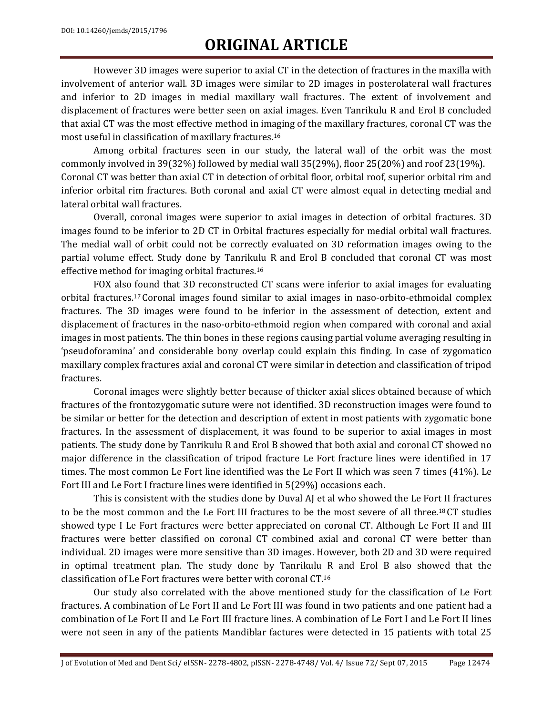However 3D images were superior to axial CT in the detection of fractures in the maxilla with involvement of anterior wall. 3D images were similar to 2D images in posterolateral wall fractures and inferior to 2D images in medial maxillary wall fractures. The extent of involvement and displacement of fractures were better seen on axial images. Even Tanrikulu R and Erol B concluded that axial CT was the most effective method in imaging of the maxillary fractures, coronal CT was the most useful in classification of maxillary fractures.<sup>16</sup>

Among orbital fractures seen in our study, the lateral wall of the orbit was the most commonly involved in 39(32%) followed by medial wall 35(29%), floor 25(20%) and roof 23(19%). Coronal CT was better than axial CT in detection of orbital floor, orbital roof, superior orbital rim and inferior orbital rim fractures. Both coronal and axial CT were almost equal in detecting medial and lateral orbital wall fractures.

Overall, coronal images were superior to axial images in detection of orbital fractures. 3D images found to be inferior to 2D CT in Orbital fractures especially for medial orbital wall fractures. The medial wall of orbit could not be correctly evaluated on 3D reformation images owing to the partial volume effect. Study done by Tanrikulu R and Erol B concluded that coronal CT was most effective method for imaging orbital fractures. 16

FOX also found that 3D reconstructed CT scans were inferior to axial images for evaluating orbital fractures.<sup>17</sup> Coronal images found similar to axial images in naso-orbito-ethmoidal complex fractures. The 3D images were found to be inferior in the assessment of detection, extent and displacement of fractures in the naso-orbito-ethmoid region when compared with coronal and axial images in most patients. The thin bones in these regions causing partial volume averaging resulting in 'pseudoforamina' and considerable bony overlap could explain this finding. In case of zygomatico maxillary complex fractures axial and coronal CT were similar in detection and classification of tripod fractures.

Coronal images were slightly better because of thicker axial slices obtained because of which fractures of the frontozygomatic suture were not identified. 3D reconstruction images were found to be similar or better for the detection and description of extent in most patients with zygomatic bone fractures. In the assessment of displacement, it was found to be superior to axial images in most patients. The study done by Tanrikulu R and Erol B showed that both axial and coronal CT showed no major difference in the classification of tripod fracture Le Fort fracture lines were identified in 17 times. The most common Le Fort line identified was the Le Fort II which was seen 7 times (41%). Le Fort III and Le Fort I fracture lines were identified in 5(29%) occasions each.

This is consistent with the studies done by Duval AJ et al who showed the Le Fort II fractures to be the most common and the Le Fort III fractures to be the most severe of all three. <sup>18</sup>CT studies showed type I Le Fort fractures were better appreciated on coronal CT. Although Le Fort II and III fractures were better classified on coronal CT combined axial and coronal CT were better than individual. 2D images were more sensitive than 3D images. However, both 2D and 3D were required in optimal treatment plan. The study done by Tanrikulu R and Erol B also showed that the classification of Le Fort fractures were better with coronal CT. 16

Our study also correlated with the above mentioned study for the classification of Le Fort fractures. A combination of Le Fort II and Le Fort III was found in two patients and one patient had a combination of Le Fort II and Le Fort III fracture lines. A combination of Le Fort I and Le Fort II lines were not seen in any of the patients Mandiblar factures were detected in 15 patients with total 25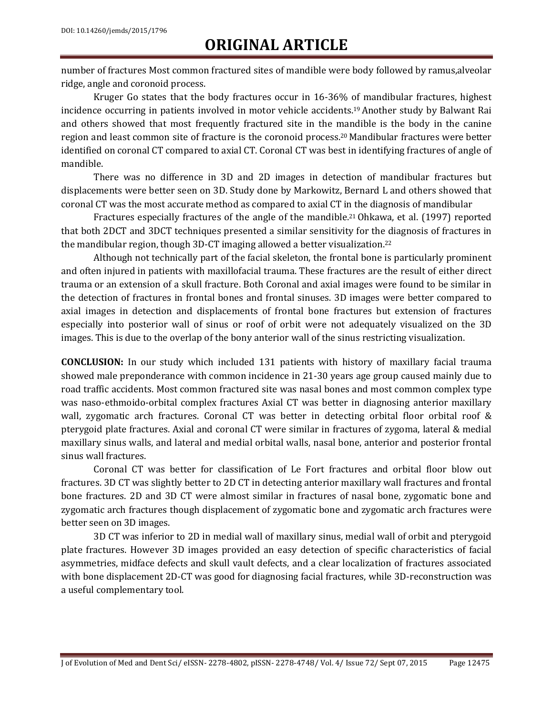number of fractures Most common fractured sites of mandible were body followed by ramus,alveolar ridge, angle and coronoid process.

Kruger Go states that the body fractures occur in 16-36% of mandibular fractures, highest incidence occurring in patients involved in motor vehicle accidents. <sup>19</sup>Another study by Balwant Rai and others showed that most frequently fractured site in the mandible is the body in the canine region and least common site of fracture is the coronoid process. <sup>20</sup> Mandibular fractures were better identified on coronal CT compared to axial CT. Coronal CT was best in identifying fractures of angle of mandible.

There was no difference in 3D and 2D images in detection of mandibular fractures but displacements were better seen on 3D. Study done by Markowitz, Bernard L and others showed that coronal CT was the most accurate method as compared to axial CT in the diagnosis of mandibular

Fractures especially fractures of the angle of the mandible.<sup>21</sup> Ohkawa, et al. (1997) reported that both 2DCT and 3DCT techniques presented a similar sensitivity for the diagnosis of fractures in the mandibular region, though 3D-CT imaging allowed a better visualization.<sup>22</sup>

Although not technically part of the facial skeleton, the frontal bone is particularly prominent and often injured in patients with maxillofacial trauma. These fractures are the result of either direct trauma or an extension of a skull fracture. Both Coronal and axial images were found to be similar in the detection of fractures in frontal bones and frontal sinuses. 3D images were better compared to axial images in detection and displacements of frontal bone fractures but extension of fractures especially into posterior wall of sinus or roof of orbit were not adequately visualized on the 3D images. This is due to the overlap of the bony anterior wall of the sinus restricting visualization.

**CONCLUSION:** In our study which included 131 patients with history of maxillary facial trauma showed male preponderance with common incidence in 21-30 years age group caused mainly due to road traffic accidents. Most common fractured site was nasal bones and most common complex type was naso-ethmoido-orbital complex fractures Axial CT was better in diagnosing anterior maxillary wall, zygomatic arch fractures. Coronal CT was better in detecting orbital floor orbital roof & pterygoid plate fractures. Axial and coronal CT were similar in fractures of zygoma, lateral & medial maxillary sinus walls, and lateral and medial orbital walls, nasal bone, anterior and posterior frontal sinus wall fractures.

Coronal CT was better for classification of Le Fort fractures and orbital floor blow out fractures. 3D CT was slightly better to 2D CT in detecting anterior maxillary wall fractures and frontal bone fractures. 2D and 3D CT were almost similar in fractures of nasal bone, zygomatic bone and zygomatic arch fractures though displacement of zygomatic bone and zygomatic arch fractures were better seen on 3D images.

3D CT was inferior to 2D in medial wall of maxillary sinus, medial wall of orbit and pterygoid plate fractures. However 3D images provided an easy detection of specific characteristics of facial asymmetries, midface defects and skull vault defects, and a clear localization of fractures associated with bone displacement 2D-CT was good for diagnosing facial fractures, while 3D-reconstruction was a useful complementary tool.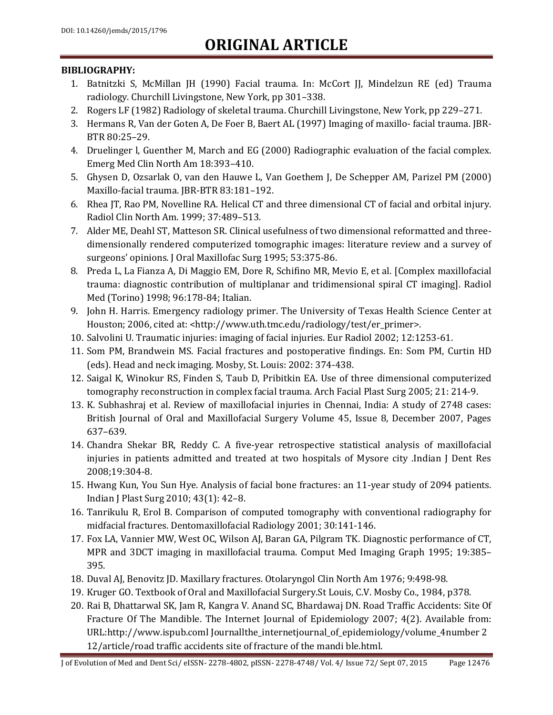#### **BIBLIOGRAPHY:**

- 1. Batnitzki S, McMillan JH (1990) Facial trauma. In: McCort JJ, Mindelzun RE (ed) Trauma radiology. Churchill Livingstone, New York, pp 301–338.
- 2. Rogers LF (1982) Radiology of skeletal trauma. Churchill Livingstone, New York, pp 229–271.
- 3. Hermans R, Van der Goten A, De Foer B, Baert AL (1997) Imaging of maxillo- facial trauma. JBR-BTR 80:25–29.
- 4. Druelinger l, Guenther M, March and EG (2000) Radiographic evaluation of the facial complex. Emerg Med Clin North Am 18:393–410.
- 5. Ghysen D, Ozsarlak O, van den Hauwe L, Van Goethem J, De Schepper AM, Parizel PM (2000) Maxillo-facial trauma. JBR-BTR 83:181–192.
- 6. Rhea JT, Rao PM, Novelline RA. Helical CT and three dimensional CT of facial and orbital injury. Radiol Clin North Am. 1999; 37:489–513.
- 7. Alder ME, Deahl ST, Matteson SR. Clinical usefulness of two dimensional reformatted and threedimensionally rendered computerized tomographic images: literature review and a survey of surgeons' opinions. J Oral Maxillofac Surg 1995; 53:375-86.
- 8. Preda L, La Fianza A, Di Maggio EM, Dore R, Schifino MR, Mevio E, et al. [Complex maxillofacial trauma: diagnostic contribution of multiplanar and tridimensional spiral CT imaging]. Radiol Med (Torino) 1998; 96:178-84; Italian.
- 9. John H. Harris. Emergency radiology primer. The University of Texas Health Science Center at Houston; 2006, cited at: <http://www.uth.tmc.edu/radiology/test/er\_primer>.
- 10. Salvolini U. Traumatic injuries: imaging of facial injuries. Eur Radiol 2002; 12:1253-61.
- 11. Som PM, Brandwein MS. Facial fractures and postoperative findings. En: Som PM, Curtin HD (eds). Head and neck imaging. Mosby, St. Louis: 2002: 374-438.
- 12. Saigal K, Winokur RS, Finden S, Taub D, Pribitkin EA. Use of three dimensional computerized tomography reconstruction in complex facial trauma. Arch Facial Plast Surg 2005; 21: 214-9.
- 13. K. Subhashraj et al. Review of maxillofacial injuries in Chennai, India: A study of 2748 cases: British Journal of Oral and Maxillofacial Surgery Volume 45, Issue 8, December 2007, Pages 637–639.
- 14. Chandra Shekar BR, Reddy C. A five-year retrospective statistical analysis of maxillofacial injuries in patients admitted and treated at two hospitals of Mysore city .Indian J Dent Res 2008;19:304-8.
- 15. Hwang Kun, You Sun Hye. Analysis of facial bone fractures: an 11-year study of 2094 patients. Indian J Plast Surg 2010; 43(1): 42–8.
- 16. Tanrikulu R, Erol B. Comparison of computed tomography with conventional radiography for midfacial fractures. Dentomaxillofacial Radiology 2001; 30:141-146.
- 17. Fox LA, Vannier MW, West OC, Wilson AJ, Baran GA, Pilgram TK. Diagnostic performance of CT, MPR and 3DCT imaging in maxillofacial trauma. Comput Med Imaging Graph 1995; 19:385– 395.
- 18. Duval AJ, Benovitz JD. Maxillary fractures. Otolaryngol Clin North Am 1976; 9:498-98.
- 19. Kruger GO. Textbook of Oral and Maxillofacial Surgery.St Louis, C.V. Mosby Co., 1984, p378.
- 20. Rai B, Dhattarwal SK, Jam R, Kangra V. Anand SC, Bhardawaj DN. Road Traffic Accidents: Site Of Fracture Of The Mandible. The Internet Journal of Epidemiology 2007; 4(2). Available from: URL:http://www.ispub.coml Journallthe\_internetjournal\_of\_epidemiology/volume\_4number 2 12/article/road traffic accidents site of fracture of the mandi ble.html.

J of Evolution of Med and Dent Sci/ eISSN- 2278-4802, pISSN- 2278-4748/ Vol. 4/ Issue 72/ Sept 07, 2015 Page 12476